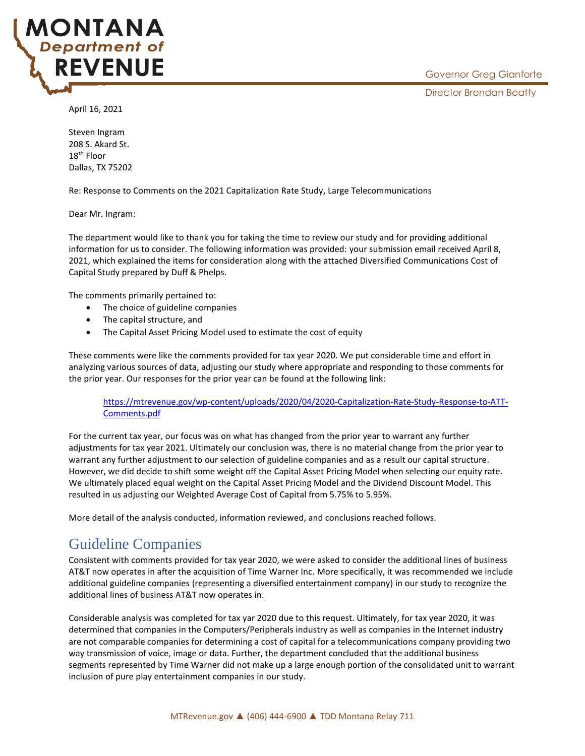

April 16, 2021

**ONTANA Department of** 

**REVENUE** 

Steven Ingram 208 S. Akard St. 18th Floor Dallas, TX 75202

Re: Response to Comments on the 2021 Capitalization Rate Study, Large Telecommunications

Dear Mr. Ingram:

The department would like to thank you for taking the time to review our study and for providing additional information for us to consider. The following information was provided: your submission email received April 8, 2021, which explained the items for consideration along with the attached Diversified Communications Cost of Capital Study prepared by Duff & Phelps.

The comments primarily pertained to:

- The choice of guideline companies
- The capital structure, and
- The Capital Asset Pricing Model used to estimate the cost of equity

These comments were like the comments provided for tax year 2020. We put considerable time and effort in analyzing various sources of data, adjusting our study where appropriate and responding to those comments for the prior year. Our responses for the prior year can be found at the following link:

[https://mtrevenue.gov/wp-content/uploads/2020/04/2020-Capitalization-Rate-Study-Response-to-ATT-](https://mtrevenue.gov/wp-content/uploads/2020/04/2020-Capitalization-Rate-Study-Response-to-ATT-Comments.pdf)[Comments.pdf](https://mtrevenue.gov/wp-content/uploads/2020/04/2020-Capitalization-Rate-Study-Response-to-ATT-Comments.pdf)

For the current tax year, our focus was on what has changed from the prior year to warrant any further adjustments for tax year 2021. Ultimately our conclusion was, there is no material change from the prior year to warrant any further adjustment to our selection of guideline companies and as a result our capital structure. However, we did decide to shift some weight off the Capital Asset Pricing Model when selecting our equity rate. We ultimately placed equal weight on the Capital Asset Pricing Model and the Dividend Discount Model. This resulted in us adjusting our Weighted Average Cost of Capital from 5.75% to 5.95%.

More detail of the analysis conducted, information reviewed, and conclusions reached follows.

# Guideline Companies

Consistent with comments provided for tax year 2020, we were asked to consider the additional lines of business AT&T now operates in after the acquisition of Time Warner Inc. More specifically, it was recommended we include additional guideline companies (representing a diversified entertainment company) in our study to recognize the additional lines of business AT&T now operates in.

Considerable analysis was completed for tax yar 2020 due to this request. Ultimately, for tax year 2020, it was determined that companies in the Computers/Peripherals industry as well as companies in the Internet industry are not comparable companies for determining a cost of capital for a telecommunications company providing two way transmission of voice, image or data. Further, the department concluded that the additional business segments represented by Time Warner did not make up a large enough portion of the consolidated unit to warrant inclusion of pure play entertainment companies in our study.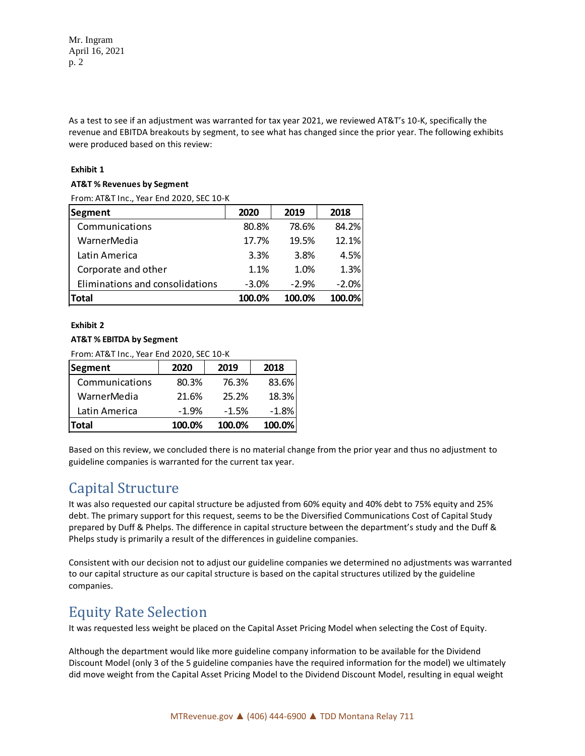Mr. Ingram April 16, 2021 p. 2

As a test to see if an adjustment was warranted for tax year 2021, we reviewed AT&T's 10-K, specifically the revenue and EBITDA breakouts by segment, to see what has changed since the prior year. The following exhibits were produced based on this review:

### **Exhibit 1**

#### **AT&T % Revenues by Segment**

From: AT&T Inc., Year End 2020, SEC 10-K

| Segment                         | 2020    | 2019    | 2018    |
|---------------------------------|---------|---------|---------|
| Communications                  | 80.8%   | 78.6%   | 84.2%   |
| WarnerMedia                     | 17.7%   | 19.5%   | 12.1%   |
| Latin America                   | 3.3%    | 3.8%    | 4.5%    |
| Corporate and other             | 1.1%    | 1.0%    | 1.3%    |
| Eliminations and consolidations | $-3.0%$ | $-2.9%$ | $-2.0%$ |
| Total                           | 100.0%  | 100.0%  | 100.0%  |

### **Exhibit 2**

### **AT&T % EBITDA by Segment**

From: AT&T Inc., Year End 2020, SEC 10-K

| Segment        | 2020    | 2019    | 2018    |
|----------------|---------|---------|---------|
| Communications | 80.3%   | 76.3%   | 83.6%   |
| WarnerMedia    | 21.6%   | 25.2%   | 18.3%   |
| Latin America  | $-1.9%$ | $-1.5%$ | $-1.8%$ |
| Total          | 100.0%  | 100.0%  | 100.0%  |

Based on this review, we concluded there is no material change from the prior year and thus no adjustment to guideline companies is warranted for the current tax year.

## Capital Structure

It was also requested our capital structure be adjusted from 60% equity and 40% debt to 75% equity and 25% debt. The primary support for this request, seems to be the Diversified Communications Cost of Capital Study prepared by Duff & Phelps. The difference in capital structure between the department's study and the Duff & Phelps study is primarily a result of the differences in guideline companies.

Consistent with our decision not to adjust our guideline companies we determined no adjustments was warranted to our capital structure as our capital structure is based on the capital structures utilized by the guideline companies.

## Equity Rate Selection

It was requested less weight be placed on the Capital Asset Pricing Model when selecting the Cost of Equity.

Although the department would like more guideline company information to be available for the Dividend Discount Model (only 3 of the 5 guideline companies have the required information for the model) we ultimately did move weight from the Capital Asset Pricing Model to the Dividend Discount Model, resulting in equal weight